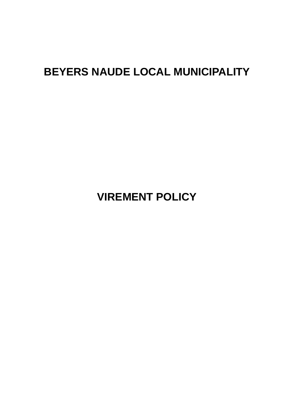# **BEYERS NAUDE LOCAL MUNICIPALITY**

**VIREMENT POLICY**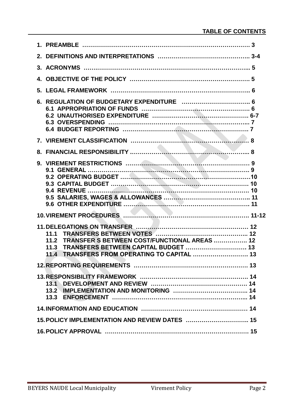|                                                | 11.1<br>TRANSFER S BETWEEN COST/FUNCTIONAL AREAS  12<br>11.2<br>11.3<br>TRANSFERS FROM OPERATING TO CAPITAL  13<br>11.4 |  |  |  |  |
|------------------------------------------------|-------------------------------------------------------------------------------------------------------------------------|--|--|--|--|
|                                                |                                                                                                                         |  |  |  |  |
|                                                |                                                                                                                         |  |  |  |  |
|                                                |                                                                                                                         |  |  |  |  |
| 15. POLICY IMPLEMENTATION AND REVIEW DATES  15 |                                                                                                                         |  |  |  |  |
|                                                |                                                                                                                         |  |  |  |  |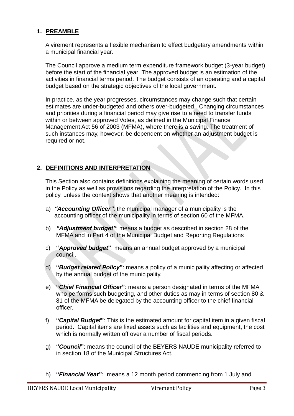# **1. PREAMBLE**

A virement represents a flexible mechanism to effect budgetary amendments within a municipal financial year.

The Council approve a medium term expenditure framework budget (3-year budget) before the start of the financial year. The approved budget is an estimation of the activities in financial terms period. The budget consists of an operating and a capital budget based on the strategic objectives of the local government.

In practice, as the year progresses, circumstances may change such that certain estimates are under-budgeted and others over-budgeted. Changing circumstances and priorities during a financial period may give rise to a need to transfer funds within or between approved Votes, as defined in the Municipal Finance Management Act 56 of 2003 (MFMA), where there is a saving. The treatment of such instances may, however, be dependent on whether an adjustment budget is required or not.

# **2. DEFINITIONS AND INTERPRETATION**

This Section also contains definitions explaining the meaning of certain words used in the Policy as well as provisions regarding the interpretation of the Policy. In this policy, unless the context shows that another meaning is intended:

- a) *"Accounting Officer"*: the municipal manager of a municipality is the accounting officer of the municipality in terms of section 60 of the MFMA.
- b) *"Adjustment budget"*: means a budget as described in section 28 of the MFMA and in Part 4 of the Municipal Budget and Reporting Regulations
- c) **"***Approved budget***"**: means an annual budget approved by a municipal council.
- d) **"***Budget related Policy***"**: means a policy of a municipality affecting or affected by the annual budget of the municipality.
- e) **"***Chief Financial Officer***"**: means a person designated in terms of the MFMA who performs such budgeting, and other duties as may in terms of section 80 & 81 of the MFMA be delegated by the accounting officer to the chief financial officer.
- f) **"***Capital Budget***"**: This is the estimated amount for capital item in a given fiscal period. Capital items are fixed assets such as facilities and equipment, the cost which is normally written off over a number of fiscal periods.
- g) **"***Council***"**: means the council of the BEYERS NAUDE municipality referred to in section 18 of the Municipal Structures Act.
- h) **"***Financial Yea***r"**: means a 12 month period commencing from 1 July and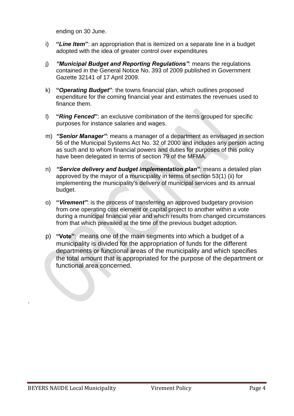ending on 30 June.

- i) **"***Line Item***"**: an appropriation that is itemized on a separate line in a budget adopted with the idea of greater control over expenditures
- j) *"Municipal Budget and Reporting Regulations"*: means the regulations contained in the General Notice No. 393 of 2009 published in Government Gazette 32141 of 17 April 2009.
- k) **"***Operating Budget***"**: the towns financial plan, which outlines proposed expenditure for the coming financial year and estimates the revenues used to finance them.
- l) **"***Ring Fenced***"**: an exclusive combination of the items grouped for specific purposes for instance salaries and wages.
- m) *"Senior Manager"*: means a manager of a department as envisaged in section 56 of the Municipal Systems Act No. 32 of 2000 and includes any person acting as such and to whom financial powers and duties for purposes of this policy have been delegated in terms of section 79 of the MFMA.
- n) *"Service delivery and budget implementation plan***"**: means a detailed plan approved by the mayor of a municipality in terms of section 53(1) (ii) for implementing the municipality's delivery of municipal services and its annual budget.
- o) **"***Virement"*: is the process of transferring an approved budgetary provision from one operating cost element or capital project to another within a vote during a municipal financial year and which results from changed circumstances from that which prevailed at the time of the previous budget adoption.
- p) **"Vote"**: means one of the main segments into which a budget of a municipality is divided for the appropriation of funds for the different departments or functional areas of the municipality and which specifies the total amount that is appropriated for the purpose of the department or functional area concerned.

.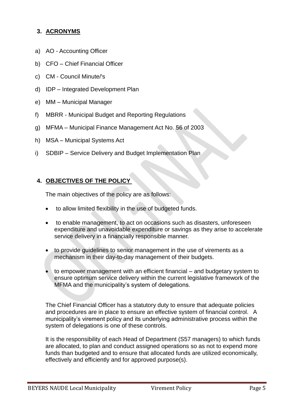# **3. ACRONYMS**

- a) AO Accounting Officer
- b) CFO Chief Financial Officer
- c) CM Council Minute/'s
- d) IDP Integrated Development Plan
- e) MM Municipal Manager
- f) MBRR Municipal Budget and Reporting Regulations
- g) MFMA Municipal Finance Management Act No. 56 of 2003
- h) MSA Municipal Systems Act
- i) SDBIP Service Delivery and Budget Implementation Plan

# **4. OBJECTIVES OF THE POLICY**

The main objectives of the policy are as follows:

- to allow limited flexibility in the use of budgeted funds.
- to enable management, to act on occasions such as disasters, unforeseen expenditure and unavoidable expenditure or savings as they arise to accelerate service delivery in a financially responsible manner.
- to provide guidelines to senior management in the use of virements as a mechanism in their day-to-day management of their budgets.
- to empower management with an efficient financial and budgetary system to ensure optimum service delivery within the current legislative framework of the MFMA and the municipality's system of delegations.

The Chief Financial Officer has a statutory duty to ensure that adequate policies and procedures are in place to ensure an effective system of financial control. A municipality's virement policy and its underlying administrative process within the system of delegations is one of these controls.

It is the responsibility of each Head of Department (S57 managers) to which funds are allocated, to plan and conduct assigned operations so as not to expend more funds than budgeted and to ensure that allocated funds are utilized economically, effectively and efficiently and for approved purpose(s).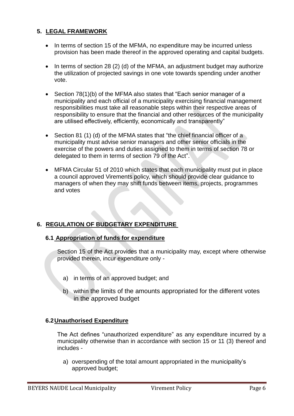# **5. LEGAL FRAMEWORK**

- In terms of section 15 of the MFMA, no expenditure may be incurred unless provision has been made thereof in the approved operating and capital budgets.
- $\bullet$  In terms of section 28 (2) (d) of the MFMA, an adjustment budget may authorize the utilization of projected savings in one vote towards spending under another vote.
- Section 78(1)(b) of the MFMA also states that "Each senior manager of a municipality and each official of a municipality exercising financial management responsibilities must take all reasonable steps within their respective areas of responsibility to ensure that the financial and other resources of the municipality are utilised effectively, efficiently, economically and transparently"
- Section 81 (1) (d) of the MFMA states that "the chief financial officer of a municipality must advise senior managers and other senior officials in the exercise of the powers and duties assigned to them in terms of section 78 or delegated to them in terms of section 79 of the Act".
- MFMA Circular 51 of 2010 which states that each municipality must put in place a council approved Virements policy, which should provide clear guidance to managers of when they may shift funds between items, projects, programmes and votes

# **6. REGULATION OF BUDGETARY EXPENDITURE**

# **6.1 Appropriation of funds for expenditure**

Section 15 of the Act provides that a municipality may, except where otherwise provided therein, incur expenditure only -

- a) in terms of an approved budget; and
- b) within the limits of the amounts appropriated for the different votes in the approved budget

# **6.2Unauthorised Expenditure**

The Act defines "unauthorized expenditure" as any expenditure incurred by a municipality otherwise than in accordance with section 15 or 11 (3) thereof and includes -

a) overspending of the total amount appropriated in the municipality's approved budget;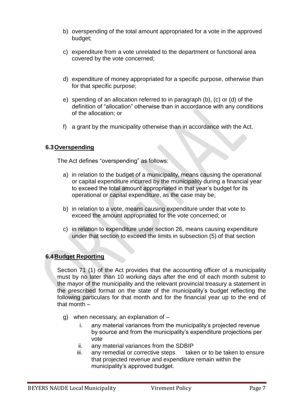- b) overspending of the total amount appropriated for a vote in the approved budget;
- c) expenditure from a vote unrelated to the department or functional area covered by the vote concerned;
- d) expenditure of money appropriated for a specific purpose, otherwise than for that specific purpose;
- e) spending of an allocation referred to in paragraph (b), (c) or (d) of the definition of "allocation" otherwise than in accordance with any conditions of the allocation; or
- f) a grant by the municipality otherwise than in accordance with the Act.

# **6.3Overspending**

The Act defines "overspending" as follows:

- a) in relation to the budget of a municipality, means causing the operational or capital expenditure incurred by the municipality during a financial year to exceed the total amount appropriated in that year's budget for its operational or capital expenditure, as the case may be;
- b) in relation to a vote, means causing expenditure under that vote to exceed the amount appropriated for the vote concerned; or
- c) in relation to expenditure under section 26, means causing expenditure under that section to exceed the limits in subsection (5) of that section

# **6.4Budget Reporting**

Section 71 (1) of the Act provides that the accounting officer of a municipality must by no later than 10 working days after the end of each month submit to the mayor of the municipality and the relevant provincial treasury a statement in the prescribed format on the state of the municipality's budget reflecting the following particulars for that month and for the financial year up to the end of that month –

- g) when necessary, an explanation of
	- i. any material variances from the municipality's projected revenue by source and from the municipality's expenditure projections per vote
	- ii. any material variances from the SDBIP
	- iii. any remedial or corrective steps taken or to be taken to ensure that projected revenue and expenditure remain within the municipality's approved budget.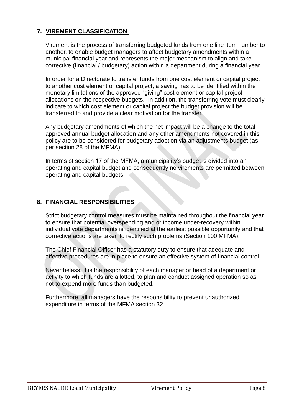# **7. VIREMENT CLASSIFICATION**

Virement is the process of transferring budgeted funds from one line item number to another, to enable budget managers to affect budgetary amendments within a municipal financial year and represents the major mechanism to align and take corrective (financial / budgetary) action within a department during a financial year.

In order for a Directorate to transfer funds from one cost element or capital project to another cost element or capital project, a saving has to be identified within the monetary limitations of the approved "giving" cost element or capital project allocations on the respective budgets. In addition, the transferring vote must clearly indicate to which cost element or capital project the budget provision will be transferred to and provide a clear motivation for the transfer.

Any budgetary amendments of which the net impact will be a change to the total approved annual budget allocation and any other amendments not covered in this policy are to be considered for budgetary adoption via an adjustments budget (as per section 28 of the MFMA).

In terms of section 17 of the MFMA, a municipality's budget is divided into an operating and capital budget and consequently no virements are permitted between operating and capital budgets.

# **8. FINANCIAL RESPONSIBILITIES**

Strict budgetary control measures must be maintained throughout the financial year to ensure that potential overspending and or income under-recovery within individual vote departments is identified at the earliest possible opportunity and that corrective actions are taken to rectify such problems (Section 100 MFMA).

The Chief Financial Officer has a statutory duty to ensure that adequate and effective procedures are in place to ensure an effective system of financial control.

Nevertheless, it is the responsibility of each manager or head of a department or activity to which funds are allotted, to plan and conduct assigned operation so as not to expend more funds than budgeted.

Furthermore, all managers have the responsibility to prevent unauthorized expenditure in terms of the MFMA section 32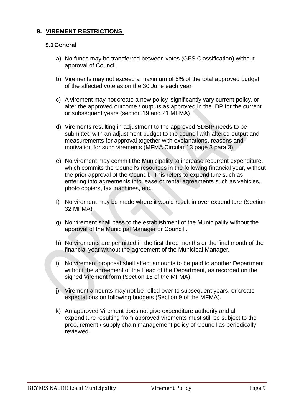# **9. VIREMENT RESTRICTIONS**

# **9.1General**

- a) No funds may be transferred between votes (GFS Classification) without approval of Council.
- b) Virements may not exceed a maximum of 5% of the total approved budget of the affected vote as on the 30 June each year
- c) A virement may not create a new policy, significantly vary current policy, or alter the approved outcome / outputs as approved in the IDP for the current or subsequent years (section 19 and 21 MFMA)
- d) Virements resulting in adjustment to the approved SDBIP needs to be submitted with an adjustment budget to the council with altered output and measurements for approval together with explanations, reasons and motivation for such virements (MFMA Circular 13 page 3 para 3).
- e) No virement may commit the Municipality to increase recurrent expenditure, which commits the Council's resources in the following financial year, without the prior approval of the Council. This refers to expenditure such as entering into agreements into lease or rental agreements such as vehicles, photo copiers, fax machines, etc.
- f) No virement may be made where it would result in over expenditure (Section 32 MFMA)
- g) No virement shall pass to the establishment of the Municipality without the approval of the Municipal Manager or Council .
- h) No virements are permitted in the first three months or the final month of the financial year without the agreement of the Municipal Manager.
- i) No virement proposal shall affect amounts to be paid to another Department without the agreement of the Head of the Department, as recorded on the signed Virement form (Section 15 of the MFMA).
- j) Virement amounts may not be rolled over to subsequent years, or create expectations on following budgets (Section 9 of the MFMA).
- k) An approved Virement does not give expenditure authority and all expenditure resulting from approved virements must still be subject to the procurement / supply chain management policy of Council as periodically reviewed.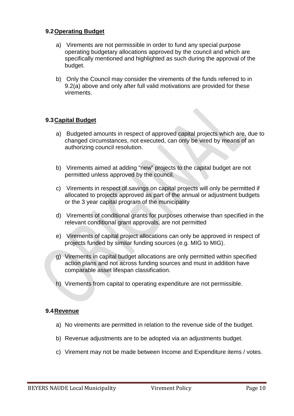#### **9.2Operating Budget**

- a) Virements are not permissible in order to fund any special purpose operating budgetary allocations approved by the council and which are specifically mentioned and highlighted as such during the approval of the budget.
- b) Only the Council may consider the virements of the funds referred to in 9.2(a) above and only after full valid motivations are provided for these virements.

# **9.3Capital Budget**

- a) Budgeted amounts in respect of approved capital projects which are, due to changed circumstances, not executed, can only be vired by means of an authorizing council resolution.
- b) Virements aimed at adding "new" projects to the capital budget are not permitted unless approved by the council.
- c) Virements in respect of savings on capital projects will only be permitted if allocated to projects approved as part of the annual or adjustment budgets or the 3 year capital program of the municipality
- d) Virements of conditional grants for purposes otherwise than specified in the relevant conditional grant approvals, are not permitted
- e) Virements of capital project allocations can only be approved in respect of projects funded by similar funding sources (e.g. MIG to MIG).
- g) Virements in capital budget allocations are only permitted within specified action plans and not across funding sources and must in addition have comparable asset lifespan classification.
- h) Virements from capital to operating expenditure are not permissible.

#### **9.4Revenue**

- a) No virements are permitted in relation to the revenue side of the budget.
- b) Revenue adjustments are to be adopted via an adjustments budget.
- c) Virement may not be made between Income and Expenditure items / votes.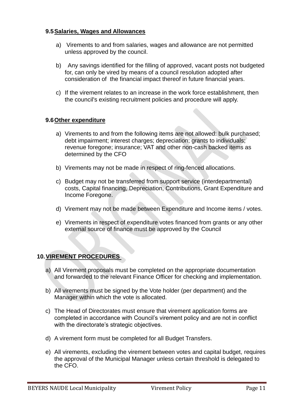#### **9.5Salaries, Wages and Allowances**

- a) Virements to and from salaries, wages and allowance are not permitted unless approved by the council.
- b) Any savings identified for the filling of approved, vacant posts not budgeted for, can only be vired by means of a council resolution adopted after consideration of the financial impact thereof in future financial years.
- c) If the virement relates to an increase in the work force establishment, then the council's existing recruitment policies and procedure will apply.

# **9.6Other expenditure**

- a) Virements to and from the following items are not allowed: bulk purchased; debt impairment; interest charges; depreciation; grants to individuals; revenue foregone; insurance; VAT and other non-cash backed items as determined by the CFO
- b) Virements may not be made in respect of ring-fenced allocations.
- c) Budget may not be transferred from support service (interdepartmental) costs, Capital financing, Depreciation, Contributions, Grant Expenditure and Income Foregone.
- d) Virement may not be made between Expenditure and Income items / votes.
- e) Virements in respect of expenditure votes financed from grants or any other external source of finance must be approved by the Council

# **10.VIREMENT PROCEDURES**

- a) All Virement proposals must be completed on the appropriate documentation and forwarded to the relevant Finance Officer for checking and implementation.
- b) All virements must be signed by the Vote holder (per department) and the Manager within which the vote is allocated.
- c) The Head of Directorates must ensure that virement application forms are completed in accordance with Council's virement policy and are not in conflict with the directorate's strategic objectives.
- d) A virement form must be completed for all Budget Transfers.
- e) All virements, excluding the virement between votes and capital budget, requires the approval of the Municipal Manager unless certain threshold is delegated to the CFO.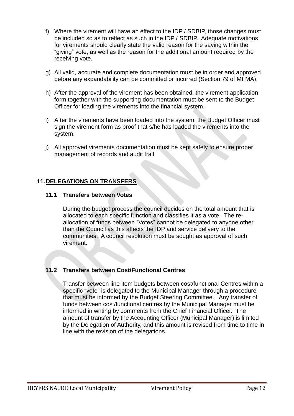- f) Where the virement will have an effect to the IDP / SDBIP, those changes must be included so as to reflect as such in the IDP / SDBIP. Adequate motivations for virements should clearly state the valid reason for the saving within the "giving" vote, as well as the reason for the additional amount required by the receiving vote.
- g) All valid, accurate and complete documentation must be in order and approved before any expandability can be committed or incurred (Section 79 of MFMA).
- h) After the approval of the virement has been obtained, the virement application form together with the supporting documentation must be sent to the Budget Officer for loading the virements into the financial system.
- i) After the virements have been loaded into the system, the Budget Officer must sign the virement form as proof that s/he has loaded the virements into the system.
- j) All approved virements documentation must be kept safely to ensure proper management of records and audit trail.

# **11.DELEGATIONS ON TRANSFERS**

#### **11.1 Transfers between Votes**

During the budget process the council decides on the total amount that is allocated to each specific function and classifies it as a vote. The reallocation of funds between "Votes" cannot be delegated to anyone other than the Council as this affects the IDP and service delivery to the communities. A council resolution must be sought as approval of such virement.

# **11.2 Transfers between Cost/Functional Centres**

Transfer between line item budgets between cost/functional Centres within a specific "vote" is delegated to the Municipal Manager through a procedure that must be informed by the Budget Steering Committee. Any transfer of funds between cost/functional centres by the Municipal Manager must be informed in writing by comments from the Chief Financial Officer. The amount of transfer by the Accounting Officer (Municipal Manager) is limited by the Delegation of Authority, and this amount is revised from time to time in line with the revision of the delegations.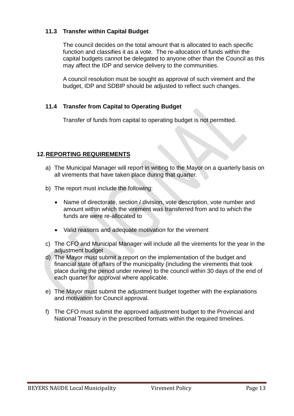# **11.3 Transfer within Capital Budget**

The council decides on the total amount that is allocated to each specific function and classifies it as a vote. The re-allocation of funds within the capital budgets cannot be delegated to anyone other than the Council as this may affect the IDP and service delivery to the communities.

A council resolution must be sought as approval of such virement and the budget, IDP and SDBIP should be adjusted to reflect such changes.

# **11.4 Transfer from Capital to Operating Budget**

Transfer of funds from capital to operating budget is not permitted.

# **12.REPORTING REQUIREMENTS**

- a) The Municipal Manager will report in writing to the Mayor on a quarterly basis on all virements that have taken place during that quarter.
- b) The report must include the following:
	- Name of directorate, section / division, vote description, vote number and amount within which the virement was transferred from and to which the funds are were re-allocated to
	- Valid reasons and adequate motivation for the virement
- c) The CFO and Municipal Manager will include all the virements for the year in the adjustment budget
- d) The Mayor must submit a report on the implementation of the budget and financial state of affairs of the municipality (including the virements that took place during the period under review) to the council within 30 days of the end of each quarter for approval where applicable.
- e) The Mayor must submit the adjustment budget together with the explanations and motivation for Council approval.
- f) The CFO must submit the approved adjustment budget to the Provincial and National Treasury in the prescribed formats within the required timelines.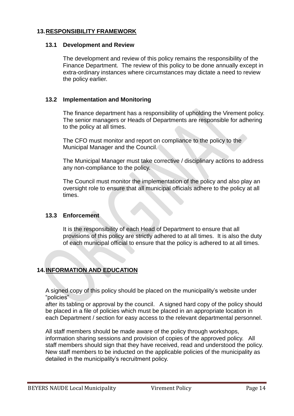# **13.RESPONSIBILITY FRAMEWORK**

#### **13.1 Development and Review**

The development and review of this policy remains the responsibility of the Finance Department. The review of this policy to be done annually except in extra-ordinary instances where circumstances may dictate a need to review the policy earlier.

# **13.2 Implementation and Monitoring**

The finance department has a responsibility of upholding the Virement policy. The senior managers or Heads of Departments are responsible for adhering to the policy at all times.

The CFO must monitor and report on compliance to the policy to the Municipal Manager and the Council.

The Municipal Manager must take corrective / disciplinary actions to address any non-compliance to the policy.

The Council must monitor the implementation of the policy and also play an oversight role to ensure that all municipal officials adhere to the policy at all times.

# **13.3 Enforcement**

It is the responsibility of each Head of Department to ensure that all provisions of this policy are strictly adhered to at all times. It is also the duty of each municipal official to ensure that the policy is adhered to at all times.

# **14.INFORMATION AND EDUCATION**

A signed copy of this policy should be placed on the municipality's website under "policies"

after its tabling or approval by the council. A signed hard copy of the policy should be placed in a file of policies which must be placed in an appropriate location in each Department / section for easy access to the relevant departmental personnel.

All staff members should be made aware of the policy through workshops, information sharing sessions and provision of copies of the approved policy. All staff members should sign that they have received, read and understood the policy. New staff members to be inducted on the applicable policies of the municipality as detailed in the municipality's recruitment policy.